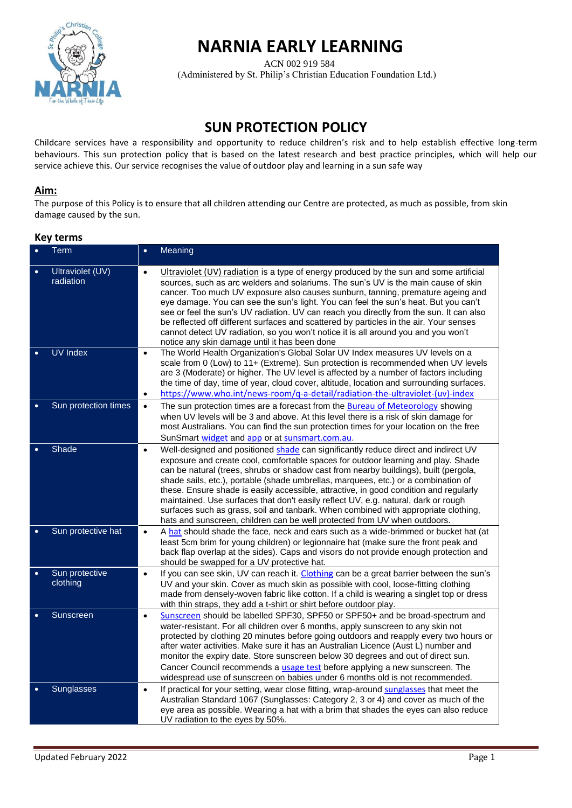

# **NARNIA EARLY LEARNING**

 ACN 002 919 584 (Administered by St. Philip's Christian Education Foundation Ltd.)

# **SUN PROTECTION POLICY**

Childcare services have a responsibility and opportunity to reduce children's risk and to help establish effective long-term behaviours. This sun protection policy that is based on the latest research and best practice principles, which will help our service achieve this. Our service recognises the value of outdoor play and learning in a sun safe way

# **Aim:**

The purpose of this Policy is to ensure that all children attending our Centre are protected, as much as possible, from skin damage caused by the sun.

# **Key terms**

| $\bullet$ | Term                          | $\bullet$              | Meaning                                                                                                                                                                                                                                                                                                                                                                                                                                                                                                                                                                                                                                                                                                 |
|-----------|-------------------------------|------------------------|---------------------------------------------------------------------------------------------------------------------------------------------------------------------------------------------------------------------------------------------------------------------------------------------------------------------------------------------------------------------------------------------------------------------------------------------------------------------------------------------------------------------------------------------------------------------------------------------------------------------------------------------------------------------------------------------------------|
| $\bullet$ | Ultraviolet (UV)<br>radiation | $\bullet$              | Ultraviolet (UV) radiation is a type of energy produced by the sun and some artificial<br>sources, such as arc welders and solariums. The sun's UV is the main cause of skin<br>cancer. Too much UV exposure also causes sunburn, tanning, premature ageing and<br>eye damage. You can see the sun's light. You can feel the sun's heat. But you can't<br>see or feel the sun's UV radiation. UV can reach you directly from the sun. It can also<br>be reflected off different surfaces and scattered by particles in the air. Your senses<br>cannot detect UV radiation, so you won't notice it is all around you and you won't<br>notice any skin damage until it has been done                      |
|           | <b>UV Index</b>               | $\bullet$<br>$\bullet$ | The World Health Organization's Global Solar UV Index measures UV levels on a<br>scale from 0 (Low) to 11+ (Extreme). Sun protection is recommended when UV levels<br>are 3 (Moderate) or higher. The UV level is affected by a number of factors including<br>the time of day, time of year, cloud cover, altitude, location and surrounding surfaces.<br>https://www.who.int/news-room/q-a-detail/radiation-the-ultraviolet-(uv)-index                                                                                                                                                                                                                                                                |
|           | Sun protection times          | $\bullet$              | The sun protection times are a forecast from the Bureau of Meteorology showing<br>when UV levels will be 3 and above. At this level there is a risk of skin damage for<br>most Australians. You can find the sun protection times for your location on the free<br>SunSmart widget and app or at sunsmart.com.au.                                                                                                                                                                                                                                                                                                                                                                                       |
|           | Shade                         | $\bullet$              | Well-designed and positioned shade can significantly reduce direct and indirect UV<br>exposure and create cool, comfortable spaces for outdoor learning and play. Shade<br>can be natural (trees, shrubs or shadow cast from nearby buildings), built (pergola,<br>shade sails, etc.), portable (shade umbrellas, marquees, etc.) or a combination of<br>these. Ensure shade is easily accessible, attractive, in good condition and regularly<br>maintained. Use surfaces that don't easily reflect UV, e.g. natural, dark or rough<br>surfaces such as grass, soil and tanbark. When combined with appropriate clothing,<br>hats and sunscreen, children can be well protected from UV when outdoors. |
| $\bullet$ | Sun protective hat            | $\bullet$              | A hat should shade the face, neck and ears such as a wide-brimmed or bucket hat (at<br>least 5cm brim for young children) or legionnaire hat (make sure the front peak and<br>back flap overlap at the sides). Caps and visors do not provide enough protection and<br>should be swapped for a UV protective hat.                                                                                                                                                                                                                                                                                                                                                                                       |
| $\bullet$ | Sun protective<br>clothing    | $\bullet$              | If you can see skin, UV can reach it. Clothing can be a great barrier between the sun's<br>UV and your skin. Cover as much skin as possible with cool, loose-fitting clothing<br>made from densely-woven fabric like cotton. If a child is wearing a singlet top or dress<br>with thin straps, they add a t-shirt or shirt before outdoor play.                                                                                                                                                                                                                                                                                                                                                         |
|           | Sunscreen                     | $\bullet$              | Sunscreen should be labelled SPF30, SPF50 or SPF50+ and be broad-spectrum and<br>water-resistant. For all children over 6 months, apply sunscreen to any skin not<br>protected by clothing 20 minutes before going outdoors and reapply every two hours or<br>after water activities. Make sure it has an Australian Licence (Aust L) number and<br>monitor the expiry date. Store sunscreen below 30 degrees and out of direct sun.<br>Cancer Council recommends a <i>usage test</i> before applying a new sunscreen. The<br>widespread use of sunscreen on babies under 6 months old is not recommended.                                                                                              |
|           | Sunglasses                    | $\bullet$              | If practical for your setting, wear close fitting, wrap-around sunglasses that meet the<br>Australian Standard 1067 (Sunglasses: Category 2, 3 or 4) and cover as much of the<br>eye area as possible. Wearing a hat with a brim that shades the eyes can also reduce<br>UV radiation to the eyes by 50%.                                                                                                                                                                                                                                                                                                                                                                                               |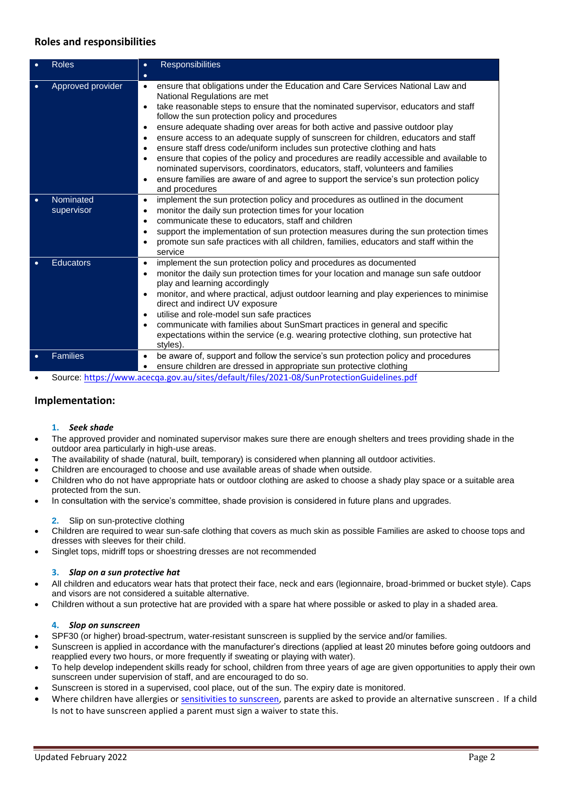# **Roles and responsibilities**

|           | <b>Roles</b>            | <b>Responsibilities</b><br>$\bullet$<br>$\bullet$                                                                                                                                                                                                                                                                                                                                                                                                                                                                                                                                                                                                                                                                                                                                                                                                                                            |
|-----------|-------------------------|----------------------------------------------------------------------------------------------------------------------------------------------------------------------------------------------------------------------------------------------------------------------------------------------------------------------------------------------------------------------------------------------------------------------------------------------------------------------------------------------------------------------------------------------------------------------------------------------------------------------------------------------------------------------------------------------------------------------------------------------------------------------------------------------------------------------------------------------------------------------------------------------|
|           | Approved provider       | ensure that obligations under the Education and Care Services National Law and<br>$\bullet$<br>National Regulations are met<br>take reasonable steps to ensure that the nominated supervisor, educators and staff<br>$\bullet$<br>follow the sun protection policy and procedures<br>ensure adequate shading over areas for both active and passive outdoor play<br>$\bullet$<br>ensure access to an adequate supply of sunscreen for children, educators and staff<br>$\bullet$<br>ensure staff dress code/uniform includes sun protective clothing and hats<br>$\bullet$<br>ensure that copies of the policy and procedures are readily accessible and available to<br>$\bullet$<br>nominated supervisors, coordinators, educators, staff, volunteers and families<br>ensure families are aware of and agree to support the service's sun protection policy<br>$\bullet$<br>and procedures |
| ٠         | Nominated<br>supervisor | implement the sun protection policy and procedures as outlined in the document<br>$\bullet$<br>monitor the daily sun protection times for your location<br>$\bullet$<br>communicate these to educators, staff and children<br>$\bullet$<br>support the implementation of sun protection measures during the sun protection times<br>$\bullet$<br>promote sun safe practices with all children, families, educators and staff within the<br>$\bullet$<br>service                                                                                                                                                                                                                                                                                                                                                                                                                              |
| $\bullet$ | <b>Educators</b>        | implement the sun protection policy and procedures as documented<br>$\bullet$<br>monitor the daily sun protection times for your location and manage sun safe outdoor<br>$\bullet$<br>play and learning accordingly<br>monitor, and where practical, adjust outdoor learning and play experiences to minimise<br>$\bullet$<br>direct and indirect UV exposure<br>utilise and role-model sun safe practices<br>$\bullet$<br>communicate with families about SunSmart practices in general and specific<br>$\bullet$<br>expectations within the service (e.g. wearing protective clothing, sun protective hat<br>styles).                                                                                                                                                                                                                                                                      |
|           | <b>Families</b>         | be aware of, support and follow the service's sun protection policy and procedures<br>$\bullet$<br>ensure children are dressed in appropriate sun protective clothing<br>٠                                                                                                                                                                                                                                                                                                                                                                                                                                                                                                                                                                                                                                                                                                                   |

• Source: <https://www.acecqa.gov.au/sites/default/files/2021-08/SunProtectionGuidelines.pdf>

# **Implementation:**

#### **1.** *Seek shade*

- The approved provider and nominated supervisor makes sure there are enough shelters and trees providing shade in the outdoor area particularly in high-use areas.
- The availability of shade (natural, built, temporary) is considered when planning all outdoor activities.
- Children are encouraged to choose and use available areas of shade when outside.
- Children who do not have appropriate hats or outdoor clothing are asked to choose a shady play space or a suitable area protected from the sun.
- In consultation with the service's committee, shade provision is considered in future plans and upgrades.
- **2.** Slip on sun-protective clothing
- Children are required to wear sun-safe clothing that covers as much skin as possible Families are asked to choose tops and dresses with sleeves for their child.
- Singlet tops, midriff tops or shoestring dresses are not recommended

#### **3.** *Slap on a sun protective hat*

- All children and educators wear hats that protect their face, neck and ears (legionnaire, broad-brimmed or bucket style). Caps and visors are not considered a suitable alternative.
- Children without a sun protective hat are provided with a spare hat where possible or asked to play in a shaded area.

#### **4.** *Slop on sunscreen*

- SPF30 (or higher) broad-spectrum, water-resistant sunscreen is supplied by the service and/or families.
- Sunscreen is applied in accordance with the manufacturer's directions (applied at least 20 minutes before going outdoors and reapplied every two hours, or more frequently if sweating or playing with water).
- To help develop independent skills ready for school, children from three years of age are given opportunities to apply their own sunscreen under supervision of staff, and are encouraged to do so.
- Sunscreen is stored in a supervised, cool place, out of the sun. The expiry date is monitored.
- Where children have allergies o[r sensitivities to sunscreen,](https://www.cancer.org.au/cancer-information/causes-and-prevention/sun-safety/about-sunscreen/sunscreen-reactions) parents are asked to provide an alternative sunscreen . If a child Is not to have sunscreen applied a parent must sign a waiver to state this.